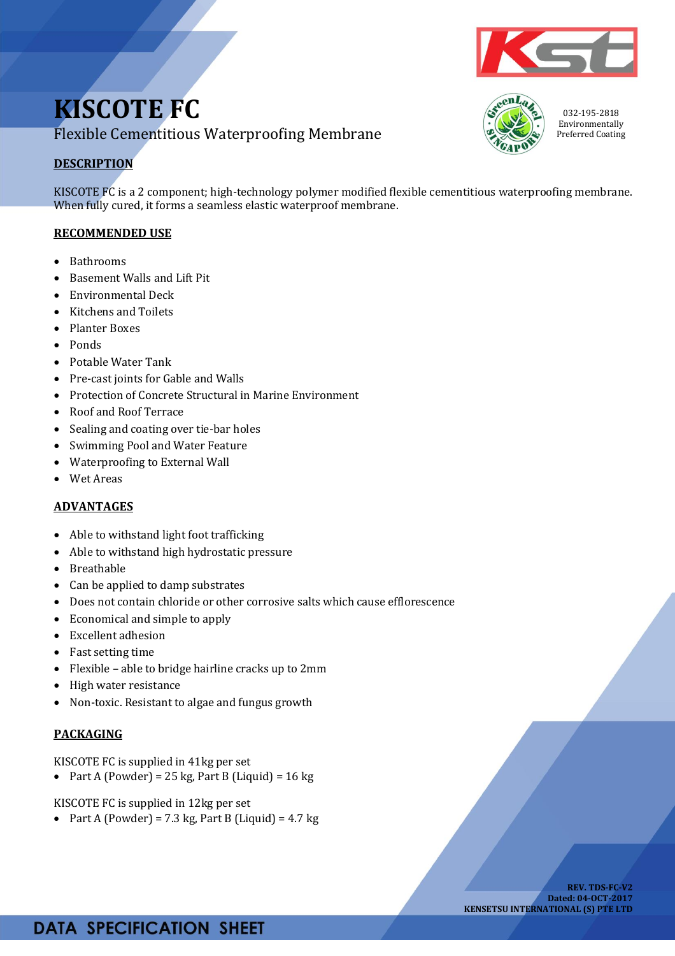# **KISCOTE FC** Flexible Cementitious Waterproofing Membrane

## **DESCRIPTION**

KISCOTE FC is a 2 component; high-technology polymer modified flexible cementitious waterproofing membrane. When fully cured, it forms a seamless elastic waterproof membrane.

#### **RECOMMENDED USE**

- Bathrooms
- Basement Walls and Lift Pit
- Environmental Deck
- Kitchens and Toilets
- Planter Boxes
- Ponds
- Potable Water Tank
- Pre-cast joints for Gable and Walls
- Protection of Concrete Structural in Marine Environment
- Roof and Roof Terrace
- Sealing and coating over tie-bar holes
- Swimming Pool and Water Feature
- Waterproofing to External Wall
- Wet Areas

#### **ADVANTAGES**

- Able to withstand light foot trafficking
- Able to withstand high hydrostatic pressure
- Breathable
- Can be applied to damp substrates
- Does not contain chloride or other corrosive salts which cause efflorescence
- Economical and simple to apply
- Excellent adhesion
- Fast setting time
- Flexible able to bridge hairline cracks up to 2mm
- High water resistance
- Non-toxic. Resistant to algae and fungus growth

### **PACKAGING**

KISCOTE FC is supplied in 41kg per set

• Part A (Powder) = 25 kg, Part B (Liquid) =  $16$  kg

KISCOTE FC is supplied in 12kg per set

• Part A (Powder) = 7.3 kg, Part B (Liquid) = 4.7 kg





032-195-2818 Environmentally Preferred Coating

## **DATA SPECIFICATION SHEET**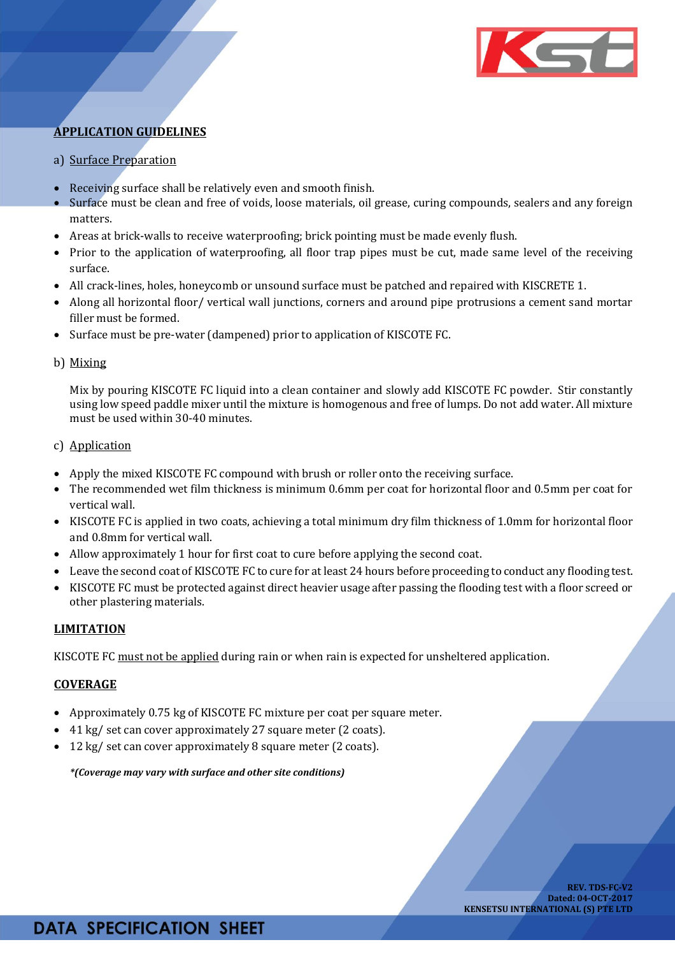

### **APPLICATION GUIDELINES**

- a) Surface Preparation
- Receiving surface shall be relatively even and smooth finish.
- Surface must be clean and free of voids, loose materials, oil grease, curing compounds, sealers and any foreign matters.
- Areas at brick-walls to receive waterproofing; brick pointing must be made evenly flush.
- Prior to the application of waterproofing, all floor trap pipes must be cut, made same level of the receiving surface.
- All crack-lines, holes, honeycomb or unsound surface must be patched and repaired with KISCRETE 1.
- Along all horizontal floor/ vertical wall junctions, corners and around pipe protrusions a cement sand mortar filler must be formed.
- Surface must be pre-water (dampened) prior to application of KISCOTE FC.

#### b) Mixing

Mix by pouring KISCOTE FC liquid into a clean container and slowly add KISCOTE FC powder. Stir constantly using low speed paddle mixer until the mixture is homogenous and free of lumps. Do not add water. All mixture must be used within 30-40 minutes.

#### c) Application

- Apply the mixed KISCOTE FC compound with brush or roller onto the receiving surface.
- The recommended wet film thickness is minimum 0.6mm per coat for horizontal floor and 0.5mm per coat for vertical wall.
- KISCOTE FC is applied in two coats, achieving a total minimum dry film thickness of 1.0mm for horizontal floor and 0.8mm for vertical wall.
- Allow approximately 1 hour for first coat to cure before applying the second coat.
- Leave the second coat of KISCOTE FC to cure for at least 24 hours before proceeding to conduct any flooding test.
- KISCOTE FC must be protected against direct heavier usage after passing the flooding test with a floor screed or other plastering materials.

#### **LIMITATION**

KISCOTE FC must not be applied during rain or when rain is expected for unsheltered application.

#### **COVERAGE**

- Approximately 0.75 kg of KISCOTE FC mixture per coat per square meter.
- 41 kg/ set can cover approximately 27 square meter (2 coats).
- 12 kg/ set can cover approximately 8 square meter (2 coats).

*\*(Coverage may vary with surface and other site conditions)*

## **DATA SPECIFICATION SHEET**